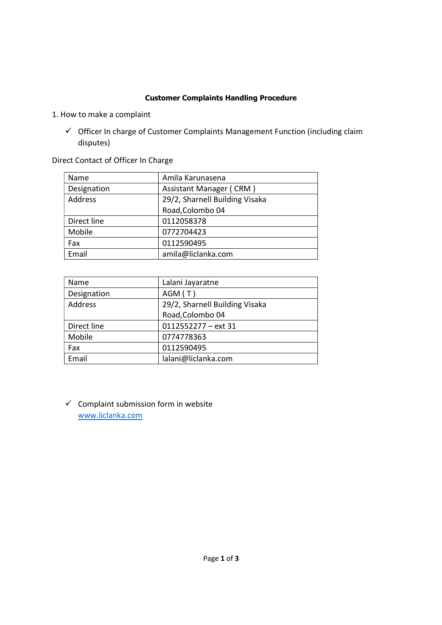## Customer Complaints Handling Procedure

- 1. How to make a complaint
	- $\checkmark$  Officer In charge of Customer Complaints Management Function (including claim disputes)

Direct Contact of Officer In Charge

| Name        | Amila Karunasena               |
|-------------|--------------------------------|
| Designation | Assistant Manager (CRM)        |
| Address     | 29/2, Sharnell Building Visaka |
|             | Road, Colombo 04               |
| Direct line | 0112058378                     |
| Mobile      | 0772704423                     |
| Fax         | 0112590495                     |
| Email       | amila@liclanka.com             |

| Name        | Lalani Jayaratne               |
|-------------|--------------------------------|
| Designation | AGM(T)                         |
| Address     | 29/2, Sharnell Building Visaka |
|             | Road, Colombo 04               |
| Direct line | 0112552277 - ext 31            |
| Mobile      | 0774778363                     |
| Fax         | 0112590495                     |
| Email       | lalani@liclanka.com            |

 $\checkmark$  Complaint submission form in website www.liclanka.com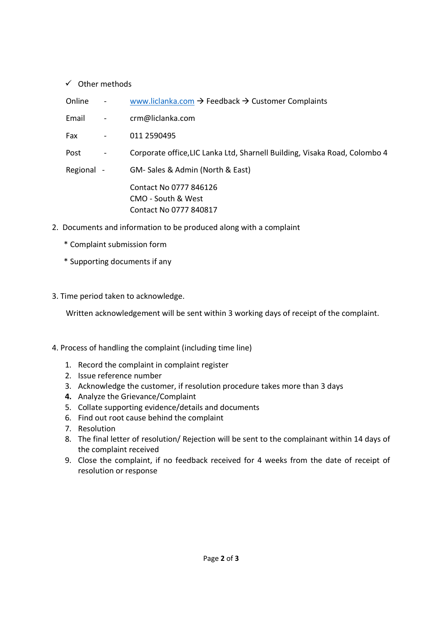## $\checkmark$  Other methods

- Online www.liclanka.com  $\rightarrow$  Feedback  $\rightarrow$  Customer Complaints
- Email crm@liclanka.com
- Fax 011 2590495
- Post Corporate office, LIC Lanka Ltd, Sharnell Building, Visaka Road, Colombo 4

 Regional - GM- Sales & Admin (North & East) Contact No 0777 846126 CMO - South & West

Contact No 0777 840817

- 2. Documents and information to be produced along with a complaint
	- \* Complaint submission form
	- \* Supporting documents if any
- 3. Time period taken to acknowledge.

Written acknowledgement will be sent within 3 working days of receipt of the complaint.

## 4. Process of handling the complaint (including time line)

- 1. Record the complaint in complaint register
- 2. Issue reference number
- 3. Acknowledge the customer, if resolution procedure takes more than 3 days
- 4. Analyze the Grievance/Complaint
- 5. Collate supporting evidence/details and documents
- 6. Find out root cause behind the complaint
- 7. Resolution
- 8. The final letter of resolution/ Rejection will be sent to the complainant within 14 days of the complaint received
- 9. Close the complaint, if no feedback received for 4 weeks from the date of receipt of resolution or response